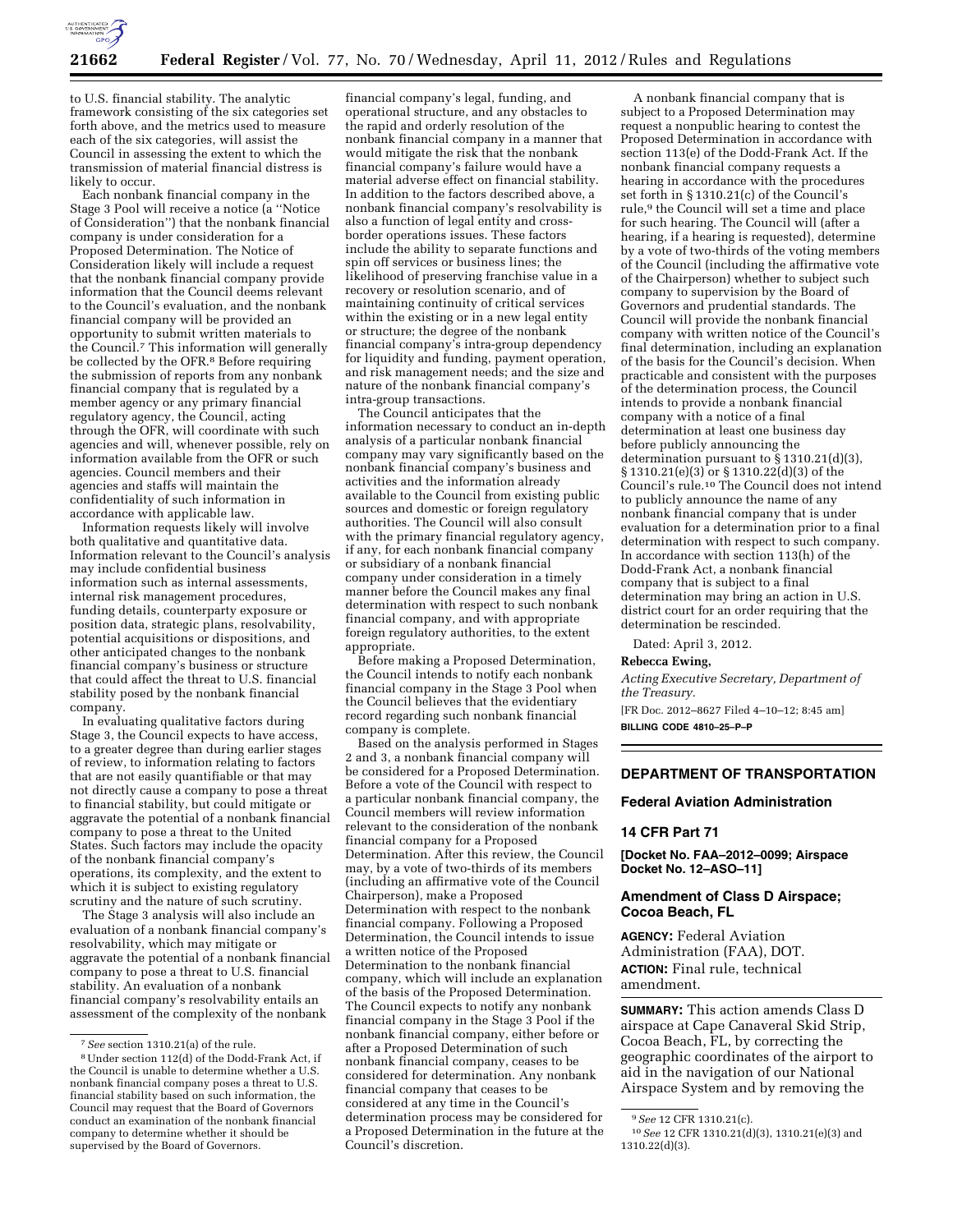

to U.S. financial stability. The analytic framework consisting of the six categories set forth above, and the metrics used to measure each of the six categories, will assist the Council in assessing the extent to which the transmission of material financial distress is likely to occur.

Each nonbank financial company in the Stage 3 Pool will receive a notice (a ''Notice of Consideration'') that the nonbank financial company is under consideration for a Proposed Determination. The Notice of Consideration likely will include a request that the nonbank financial company provide information that the Council deems relevant to the Council's evaluation, and the nonbank financial company will be provided an opportunity to submit written materials to the Council.7 This information will generally be collected by the OFR.<sup>8</sup> Before requiring the submission of reports from any nonbank financial company that is regulated by a member agency or any primary financial regulatory agency, the Council, acting through the OFR, will coordinate with such agencies and will, whenever possible, rely on information available from the OFR or such agencies. Council members and their agencies and staffs will maintain the confidentiality of such information in accordance with applicable law.

Information requests likely will involve both qualitative and quantitative data. Information relevant to the Council's analysis may include confidential business information such as internal assessments, internal risk management procedures, funding details, counterparty exposure or position data, strategic plans, resolvability, potential acquisitions or dispositions, and other anticipated changes to the nonbank financial company's business or structure that could affect the threat to U.S. financial stability posed by the nonbank financial company.

In evaluating qualitative factors during Stage 3, the Council expects to have access, to a greater degree than during earlier stages of review, to information relating to factors that are not easily quantifiable or that may not directly cause a company to pose a threat to financial stability, but could mitigate or aggravate the potential of a nonbank financial company to pose a threat to the United States. Such factors may include the opacity of the nonbank financial company's operations, its complexity, and the extent to which it is subject to existing regulatory scrutiny and the nature of such scrutiny.

The Stage 3 analysis will also include an evaluation of a nonbank financial company's resolvability, which may mitigate or aggravate the potential of a nonbank financial company to pose a threat to U.S. financial stability. An evaluation of a nonbank financial company's resolvability entails an assessment of the complexity of the nonbank

financial company's legal, funding, and operational structure, and any obstacles to the rapid and orderly resolution of the nonbank financial company in a manner that would mitigate the risk that the nonbank financial company's failure would have a material adverse effect on financial stability. In addition to the factors described above, a nonbank financial company's resolvability is also a function of legal entity and crossborder operations issues. These factors include the ability to separate functions and spin off services or business lines; the likelihood of preserving franchise value in a recovery or resolution scenario, and of maintaining continuity of critical services within the existing or in a new legal entity or structure; the degree of the nonbank financial company's intra-group dependency for liquidity and funding, payment operation, and risk management needs; and the size and nature of the nonbank financial company's intra-group transactions.

The Council anticipates that the information necessary to conduct an in-depth analysis of a particular nonbank financial company may vary significantly based on the nonbank financial company's business and activities and the information already available to the Council from existing public sources and domestic or foreign regulatory authorities. The Council will also consult with the primary financial regulatory agency, if any, for each nonbank financial company or subsidiary of a nonbank financial company under consideration in a timely manner before the Council makes any final determination with respect to such nonbank financial company, and with appropriate foreign regulatory authorities, to the extent appropriate.

Before making a Proposed Determination, the Council intends to notify each nonbank financial company in the Stage 3 Pool when the Council believes that the evidentiary record regarding such nonbank financial company is complete.

Based on the analysis performed in Stages 2 and 3, a nonbank financial company will be considered for a Proposed Determination. Before a vote of the Council with respect to a particular nonbank financial company, the Council members will review information relevant to the consideration of the nonbank financial company for a Proposed Determination. After this review, the Council may, by a vote of two-thirds of its members (including an affirmative vote of the Council Chairperson), make a Proposed Determination with respect to the nonbank financial company. Following a Proposed Determination, the Council intends to issue a written notice of the Proposed Determination to the nonbank financial company, which will include an explanation of the basis of the Proposed Determination. The Council expects to notify any nonbank financial company in the Stage 3 Pool if the nonbank financial company, either before or after a Proposed Determination of such nonbank financial company, ceases to be considered for determination. Any nonbank financial company that ceases to be considered at any time in the Council's determination process may be considered for a Proposed Determination in the future at the Council's discretion.

A nonbank financial company that is subject to a Proposed Determination may request a nonpublic hearing to contest the Proposed Determination in accordance with section 113(e) of the Dodd-Frank Act. If the nonbank financial company requests a hearing in accordance with the procedures set forth in § 1310.21(c) of the Council's rule,9 the Council will set a time and place for such hearing. The Council will (after a hearing, if a hearing is requested), determine by a vote of two-thirds of the voting members of the Council (including the affirmative vote of the Chairperson) whether to subject such company to supervision by the Board of Governors and prudential standards. The Council will provide the nonbank financial company with written notice of the Council's final determination, including an explanation of the basis for the Council's decision. When practicable and consistent with the purposes of the determination process, the Council intends to provide a nonbank financial company with a notice of a final determination at least one business day before publicly announcing the determination pursuant to § 1310.21(d)(3), § 1310.21(e)(3) or § 1310.22(d)(3) of the Council's rule.10 The Council does not intend to publicly announce the name of any nonbank financial company that is under evaluation for a determination prior to a final determination with respect to such company. In accordance with section 113(h) of the Dodd-Frank Act, a nonbank financial company that is subject to a final determination may bring an action in U.S. district court for an order requiring that the determination be rescinded.

Dated: April 3, 2012.

#### **Rebecca Ewing,**

*Acting Executive Secretary, Department of the Treasury.* 

[FR Doc. 2012–8627 Filed 4–10–12; 8:45 am] **BILLING CODE 4810–25–P–P** 

### **DEPARTMENT OF TRANSPORTATION**

### **Federal Aviation Administration**

#### **14 CFR Part 71**

**[Docket No. FAA–2012–0099; Airspace Docket No. 12–ASO–11]** 

# **Amendment of Class D Airspace; Cocoa Beach, FL**

**AGENCY:** Federal Aviation Administration (FAA), DOT. **ACTION:** Final rule, technical amendment.

**SUMMARY:** This action amends Class D airspace at Cape Canaveral Skid Strip, Cocoa Beach, FL, by correcting the geographic coordinates of the airport to aid in the navigation of our National Airspace System and by removing the

<sup>7</sup>*See* section 1310.21(a) of the rule.

<sup>8</sup>Under section 112(d) of the Dodd-Frank Act, if the Council is unable to determine whether a U.S. nonbank financial company poses a threat to U.S. financial stability based on such information, the Council may request that the Board of Governors conduct an examination of the nonbank financial company to determine whether it should be supervised by the Board of Governors.

<sup>9</sup>*See* 12 CFR 1310.21(c).

<sup>10</sup>*See* 12 CFR 1310.21(d)(3), 1310.21(e)(3) and 1310.22(d)(3).